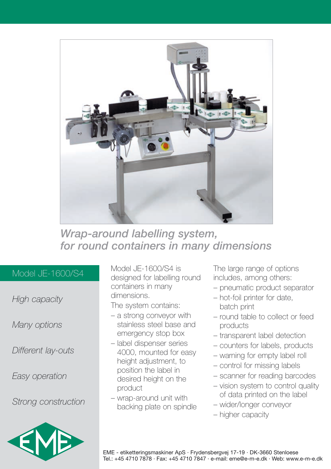

## *Wrap-around labelling system, for round containers in many dimensions*

## Model JE-1600/S4

*High capacity*

*Many options*

*Different lay-outs*

*Easy operation*

*Strong construction*



Model JE-1600/S4 is designed for labelling round containers in many dimensions.

The system contains:

- a strong conveyor with stainless steel base and emergency stop box
- label dispenser series 4000, mounted for easy height adjustment, to position the label in desired height on the product
- wrap-around unit with backing plate on spindle

The large range of options includes, among others:

- pneumatic product separator
- hot-foil printer for date, batch print
- round table to collect or feed products
- transparent label detection
- counters for labels, products
- warning for empty label roll
- control for missing labels
- scanner for reading barcodes
- vision system to control quality of data printed on the label
- wider/longer conveyor
- higher capacity